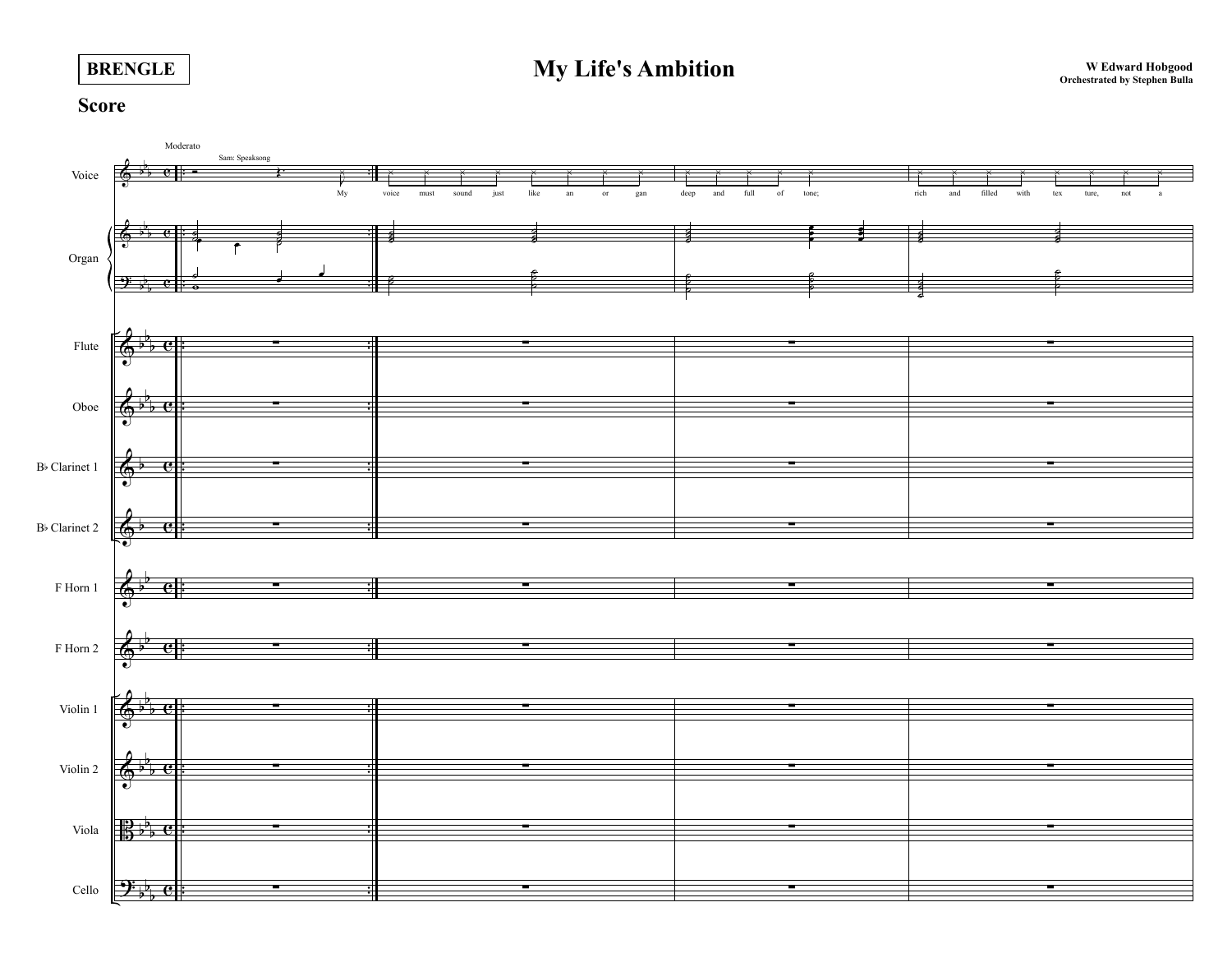| <b>BRENGLE</b> |
|----------------|
|----------------|

## **Score**

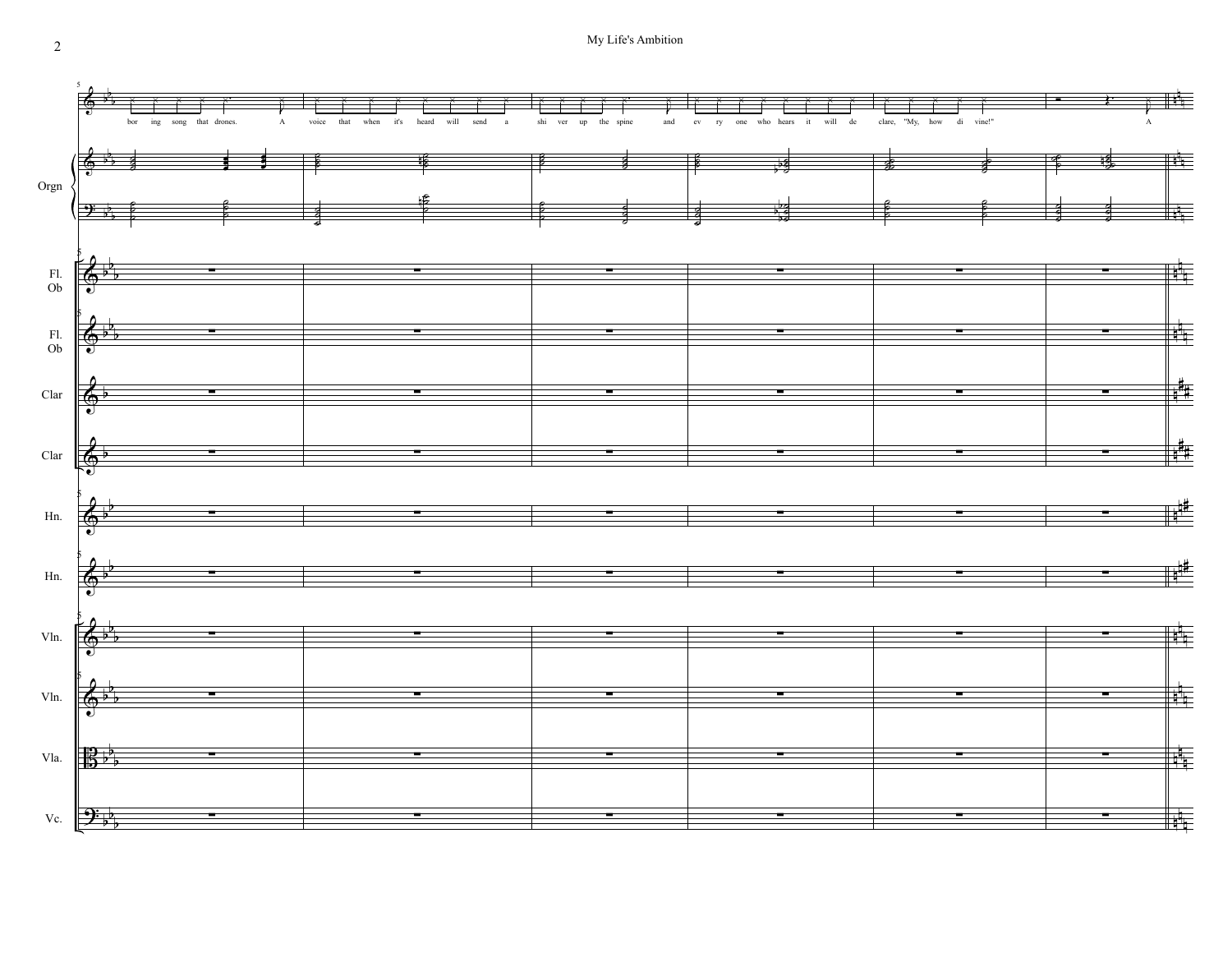

 $\overline{2}$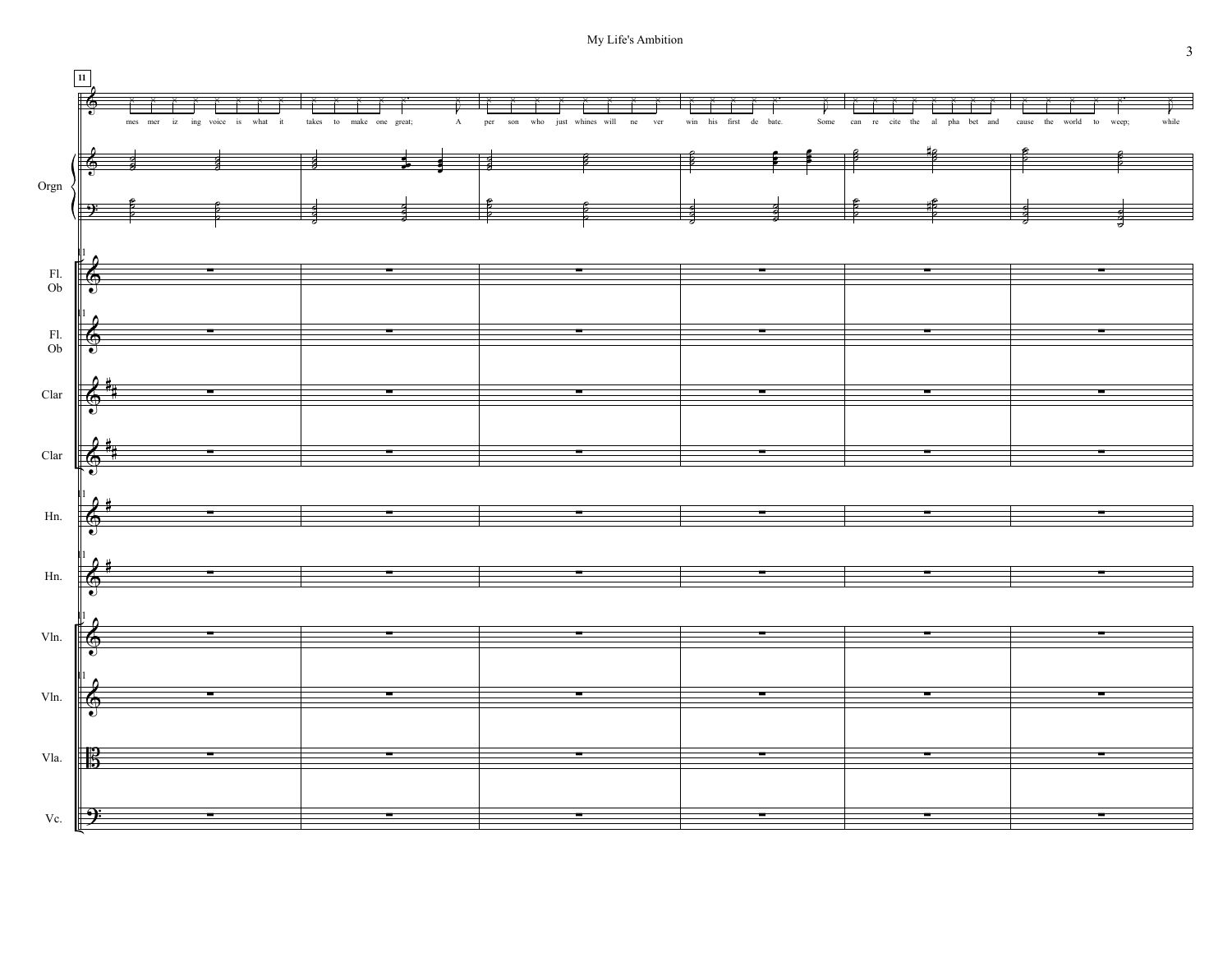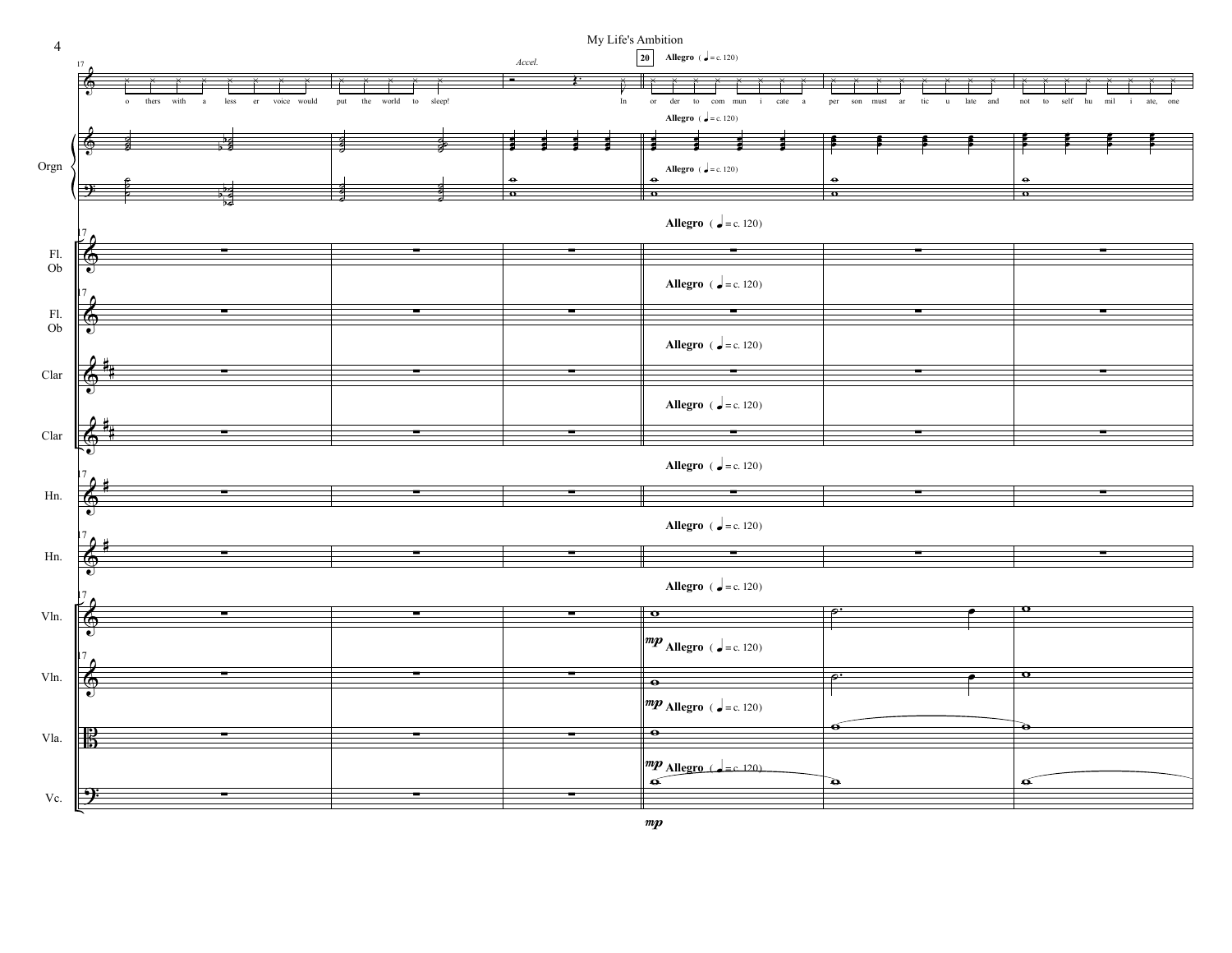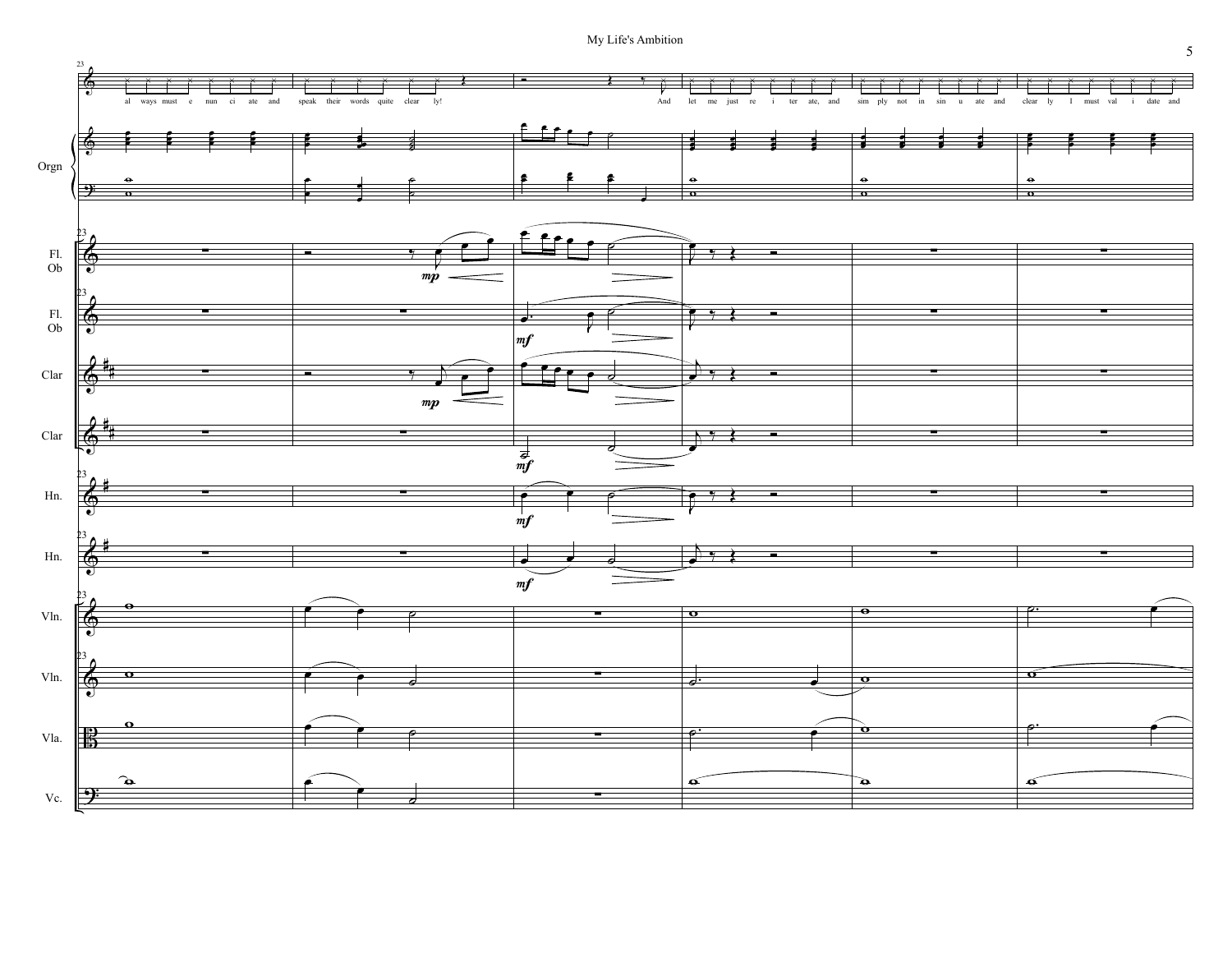

 $\overline{5}$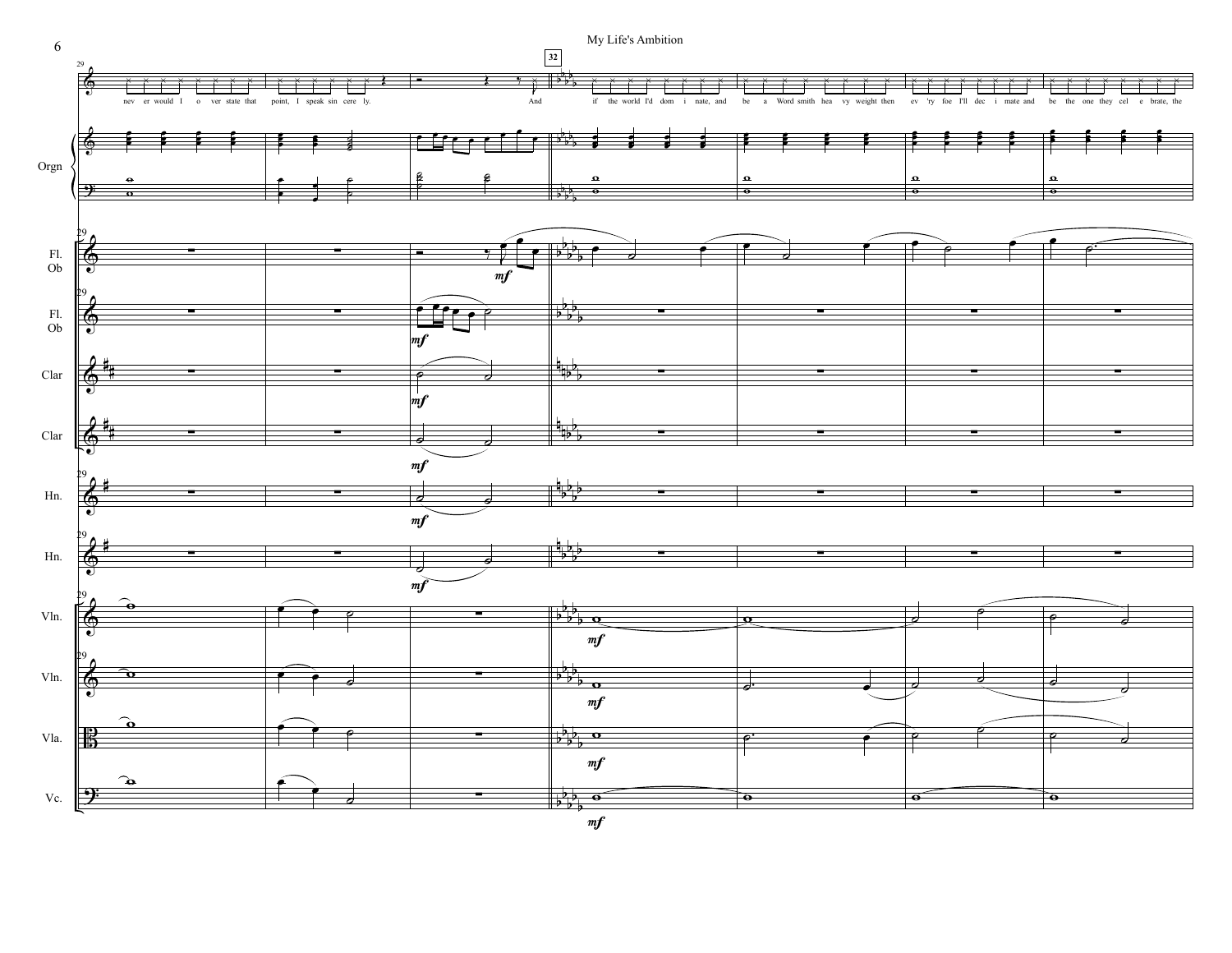

 $m f$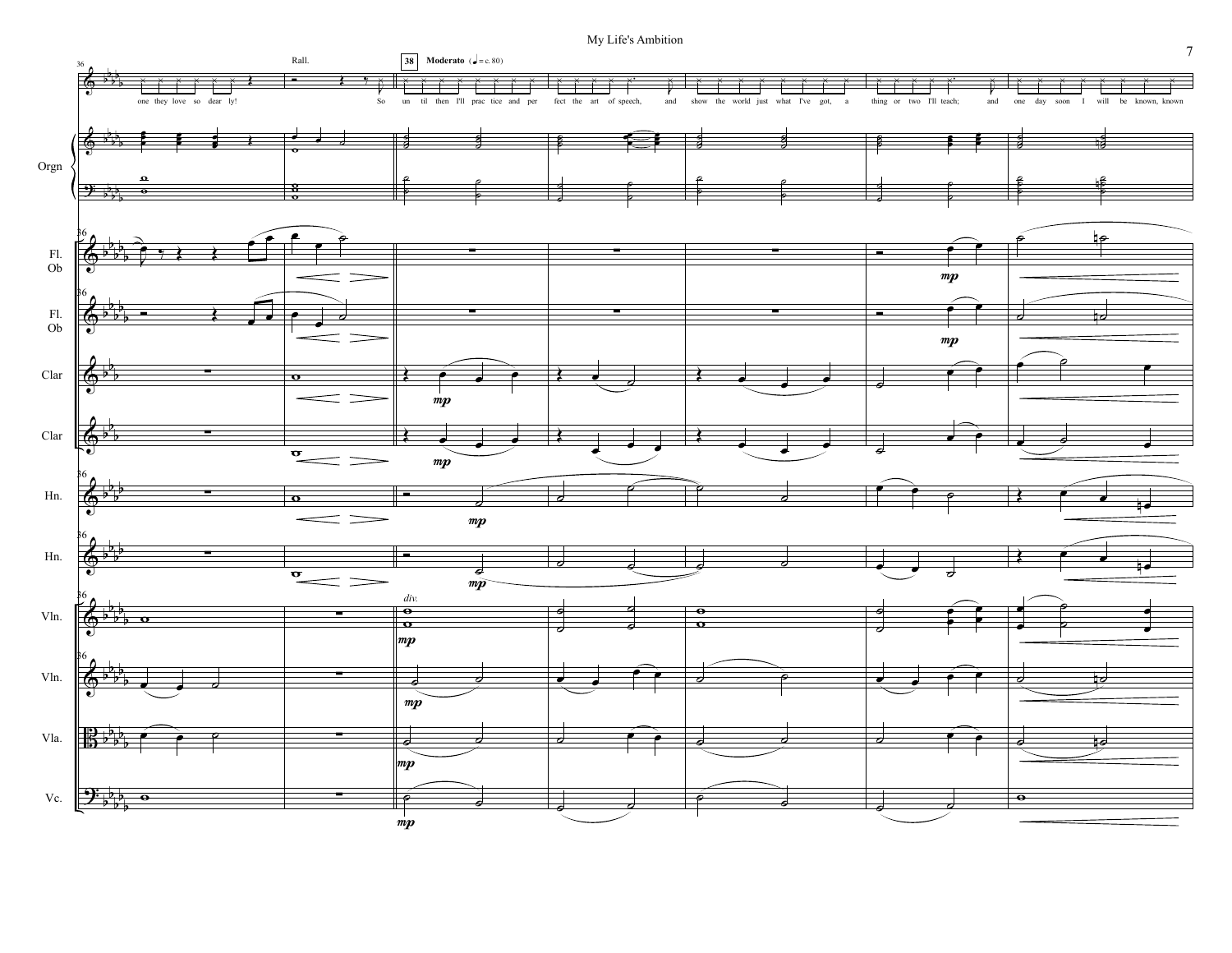

 $\overline{7}$